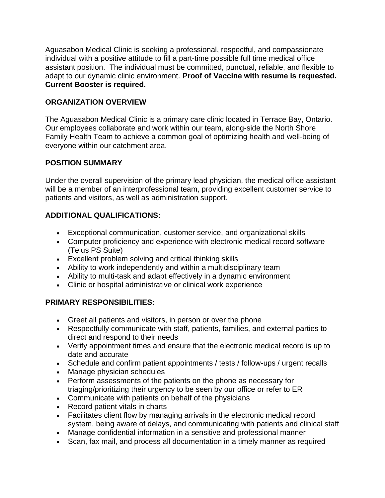Aguasabon Medical Clinic is seeking a professional, respectful, and compassionate individual with a positive attitude to fill a part-time possible full time medical office assistant position. The individual must be committed, punctual, reliable, and flexible to adapt to our dynamic clinic environment. **Proof of Vaccine with resume is requested. Current Booster is required.**

### **ORGANIZATION OVERVIEW**

The Aguasabon Medical Clinic is a primary care clinic located in Terrace Bay, Ontario. Our employees collaborate and work within our team, along-side the North Shore Family Health Team to achieve a common goal of optimizing health and well-being of everyone within our catchment area.

## **POSITION SUMMARY**

Under the overall supervision of the primary lead physician, the medical office assistant will be a member of an interprofessional team, providing excellent customer service to patients and visitors, as well as administration support.

# **ADDITIONAL QUALIFICATIONS:**

- Exceptional communication, customer service, and organizational skills
- Computer proficiency and experience with electronic medical record software (Telus PS Suite)
- Excellent problem solving and critical thinking skills
- Ability to work independently and within a multidisciplinary team
- Ability to multi-task and adapt effectively in a dynamic environment
- Clinic or hospital administrative or clinical work experience

# **PRIMARY RESPONSIBILITIES:**

- Greet all patients and visitors, in person or over the phone
- Respectfully communicate with staff, patients, families, and external parties to direct and respond to their needs
- Verify appointment times and ensure that the electronic medical record is up to date and accurate
- Schedule and confirm patient appointments / tests / follow-ups / urgent recalls
- Manage physician schedules
- Perform assessments of the patients on the phone as necessary for triaging/prioritizing their urgency to be seen by our office or refer to ER
- Communicate with patients on behalf of the physicians
- Record patient vitals in charts
- Facilitates client flow by managing arrivals in the electronic medical record system, being aware of delays, and communicating with patients and clinical staff
- Manage confidential information in a sensitive and professional manner
- Scan, fax mail, and process all documentation in a timely manner as required